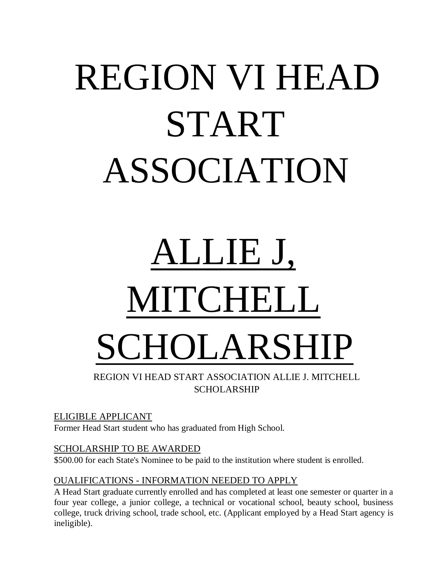## REGION VI HEAD START ASSOCIATION

# ALLIE J, MITCHELL CHOLARSHIP

REGION VI HEAD START ASSOCIATION ALLIE J. MITCHELL SCHOLARSHIP

#### ELIGIBLE APPLICANT

Former Head Start student who has graduated from High School.

#### SCHOLARSHIP TO BE AWARDED

\$500.00 for each State's Nominee to be paid to the institution where student is enrolled.

#### OUALIFICATIONS - INFORMATION NEEDED TO APPLY

A Head Start graduate currently enrolled and has completed at least one semester or quarter in a four year college, a junior college, a technical or vocational school, beauty school, business college, truck driving school, trade school, etc. (Applicant employed by a Head Start agency is ineligible).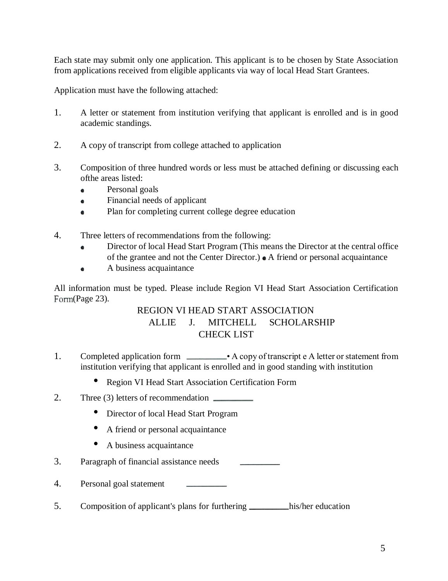Each state may submit only one application. This applicant is to be chosen by State Association from applications received from eligible applicants via way of local Head Start Grantees.

Application must have the following attached:

- 1. A letter or statement from institution verifying that applicant is enrolled and is in good academic standings.
- 2. A copy of transcript from college attached to application
- 3. Composition of three hundred words or less must be attached defining or discussing each ofthe areas listed:
	- Personal goals  $\bullet$
	- Financial needs of applicant  $\bullet$
	- Plan for completing current college degree education  $\bullet$
- 4. Three letters of recommendations from the following:
	- Director of local Head Start Program (This means the Director at the central office  $\bullet$ of the grantee and not the Center Director.)  $\bullet$  A friend or personal acquaintance
	- A business acquaintance  $\bullet$

All information must be typed. Please include Region VI Head Start Association Certification Form(Page 23).

#### REGION VI HEAD START ASSOCIATION ALLIE J. MITCHELL SCHOLARSHIP CHECK LIST

- 1. Completed application form A copy of transcript e A letter or statement from institution verifying that applicant is enrolled and in good standing with institution
	- Region VI Head Start Association Certification Form
- 2. Three (3) letters of recommendation
	- Director of local Head Start Program
	- A friend or personal acquaintance
	- A business acquaintance
- 3. Paragraph of financial assistance needs
- 4. Personal goal statement
- 5. Composition of applicant's plans for furthering \_\_\_\_\_\_\_\_\_his/her education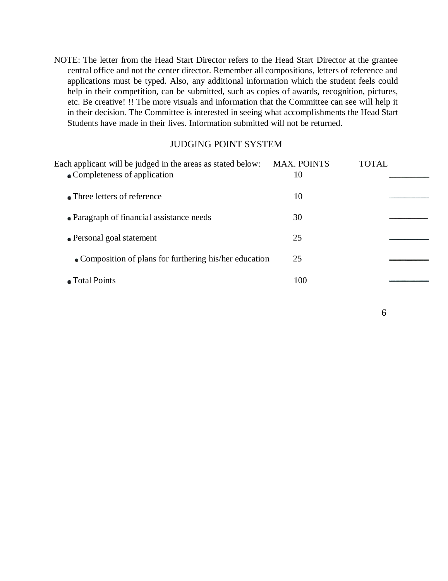NOTE: The letter from the Head Start Director refers to the Head Start Director at the grantee central office and not the center director. Remember all compositions, letters of reference and applications must be typed. Also, any additional information which the student feels could help in their competition, can be submitted, such as copies of awards, recognition, pictures, etc. Be creative! !! The more visuals and information that the Committee can see will help it in their decision. The Committee is interested in seeing what accomplishments the Head Start Students have made in their lives. Information submitted will not be returned.

#### JUDGING POINT SYSTEM

| Each applicant will be judged in the areas as stated below:<br>• Completeness of application | <b>MAX. POINTS</b><br>10 | <b>TOTAL</b> |
|----------------------------------------------------------------------------------------------|--------------------------|--------------|
| • Three letters of reference                                                                 | 10                       |              |
| • Paragraph of financial assistance needs                                                    | 30                       |              |
| • Personal goal statement                                                                    | 25                       |              |
| • Composition of plans for furthering his/her education                                      | 25                       |              |
| • Total Points                                                                               | 100                      |              |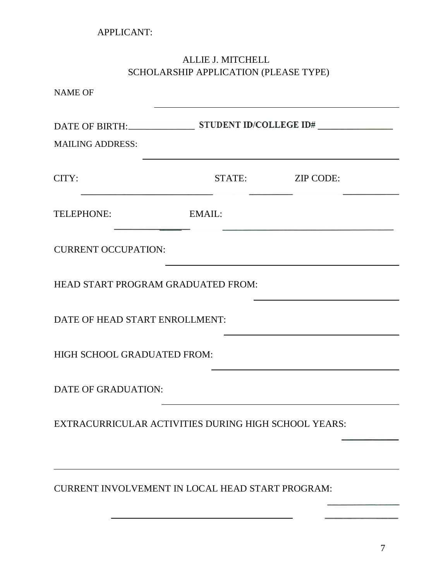### ALLIE J. MITCHELL SCHOLARSHIP APPLICATION (PLEASE TYPE)

|                                                         | STATE: ZIP CODE: |  |  |
|---------------------------------------------------------|------------------|--|--|
| EMAIL:                                                  |                  |  |  |
| <b>CURRENT OCCUPATION:</b>                              |                  |  |  |
| HEAD START PROGRAM GRADUATED FROM:                      |                  |  |  |
| DATE OF HEAD START ENROLLMENT:                          |                  |  |  |
| HIGH SCHOOL GRADUATED FROM:                             |                  |  |  |
| <b>DATE OF GRADUATION:</b>                              |                  |  |  |
| EXTRACURRICULAR ACTIVITIES DURING HIGH SCHOOL YEARS:    |                  |  |  |
|                                                         |                  |  |  |
| <b>CURRENT INVOLVEMENT IN LOCAL HEAD START PROGRAM:</b> |                  |  |  |
|                                                         |                  |  |  |